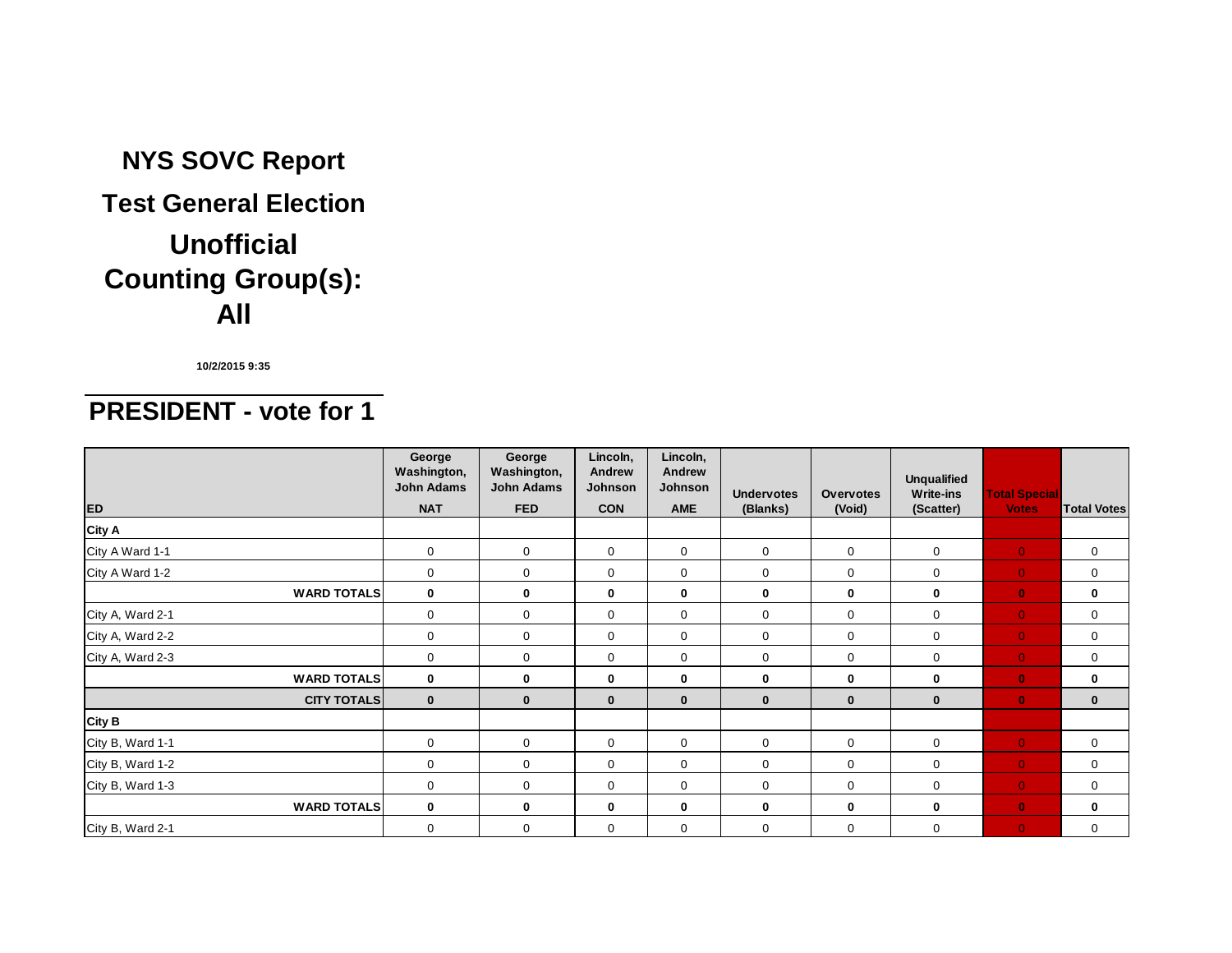# **Counting Group(s): All NYS SOVC Report Test General Election Unofficial**

**10/2/2015 9:35**

### **PRESIDENT - vote for 1**

| <b>ED</b>          | George<br>Washington,<br><b>John Adams</b><br><b>NAT</b> | George<br>Washington,<br><b>John Adams</b><br><b>FED</b> | Lincoln,<br>Andrew<br><b>Johnson</b><br><b>CON</b> | Lincoln,<br>Andrew<br>Johnson<br><b>AME</b> | <b>Undervotes</b><br>(Blanks) | <b>Overvotes</b><br>(Void) | <b>Unqualified</b><br><b>Write-ins</b><br>(Scatter) | <b>Total Special</b><br><b>Votes</b> | <b>Total Votes</b> |
|--------------------|----------------------------------------------------------|----------------------------------------------------------|----------------------------------------------------|---------------------------------------------|-------------------------------|----------------------------|-----------------------------------------------------|--------------------------------------|--------------------|
| <b>City A</b>      |                                                          |                                                          |                                                    |                                             |                               |                            |                                                     |                                      |                    |
| City A Ward 1-1    | 0                                                        | $\mathbf 0$                                              | $\mathbf 0$                                        | $\mathbf 0$                                 | $\mathbf 0$                   | $\mathbf 0$                | $\mathbf 0$                                         | $\overline{0}$                       | $\mathbf 0$        |
| City A Ward 1-2    | $\mathbf 0$                                              | $\mathbf 0$                                              | $\mathbf 0$                                        | $\mathbf 0$                                 | $\mathbf 0$                   | $\mathbf 0$                | $\mathbf 0$                                         | $\overline{0}$                       | $\mathbf 0$        |
| <b>WARD TOTALS</b> | $\mathbf 0$                                              | $\bf{0}$                                                 | $\mathbf 0$                                        | 0                                           | $\mathbf 0$                   | $\bf{0}$                   | $\bf{0}$                                            | $\mathbf{0}$                         | 0                  |
| City A, Ward 2-1   | $\mathbf 0$                                              | $\mathbf 0$                                              | $\mathbf 0$                                        | $\mathbf 0$                                 | $\mathbf 0$                   | $\mathbf 0$                | $\mathbf 0$                                         | $\overline{0}$                       | $\mathbf 0$        |
| City A, Ward 2-2   | $\mathbf 0$                                              | $\mathbf 0$                                              | $\mathbf 0$                                        | $\mathbf 0$                                 | $\Omega$                      | $\mathbf 0$                | $\mathbf 0$                                         | $\overline{0}$                       | $\mathbf 0$        |
| City A, Ward 2-3   | $\mathbf 0$                                              | $\mathbf 0$                                              | $\mathbf 0$                                        | $\mathbf 0$                                 | $\mathbf 0$                   | $\mathbf 0$                | $\mathbf 0$                                         | $\overline{0}$                       | $\mathbf 0$        |
| <b>WARD TOTALS</b> | $\mathbf 0$                                              | 0                                                        | $\mathbf 0$                                        | 0                                           | $\mathbf{0}$                  | $\bf{0}$                   | 0                                                   | $\mathbf{0}$                         | 0                  |
| <b>CITY TOTALS</b> | $\mathbf{0}$                                             | $\mathbf{0}$                                             | $\mathbf{0}$                                       | $\bf{0}$                                    | $\mathbf{0}$                  | $\bf{0}$                   | $\bf{0}$                                            | $\mathbf{0}$                         | $\mathbf{0}$       |
| City B             |                                                          |                                                          |                                                    |                                             |                               |                            |                                                     |                                      |                    |
| City B, Ward 1-1   | 0                                                        | $\mathbf 0$                                              | $\mathbf 0$                                        | $\mathbf 0$                                 | $\mathbf 0$                   | $\mathbf 0$                | $\mathbf 0$                                         | $\overline{0}$                       | 0                  |
| City B, Ward 1-2   | $\mathbf 0$                                              | $\mathbf 0$                                              | $\mathbf 0$                                        | $\mathbf 0$                                 | $\mathbf 0$                   | $\mathbf 0$                | $\mathbf 0$                                         | $\overline{0}$                       | 0                  |
| City B, Ward 1-3   | $\Omega$                                                 | $\mathbf 0$                                              | $\mathbf 0$                                        | $\mathbf 0$                                 | $\Omega$                      | $\Omega$                   | $\mathbf 0$                                         | $\overline{0}$                       | $\mathbf 0$        |
| <b>WARD TOTALS</b> | $\mathbf 0$                                              | $\mathbf 0$                                              | $\mathbf{0}$                                       | 0                                           | $\mathbf{0}$                  | $\bf{0}$                   | $\bf{0}$                                            | $\bullet$                            | 0                  |
| City B, Ward 2-1   | $\mathbf 0$                                              | $\mathbf 0$                                              | $\mathbf 0$                                        | $\mathbf 0$                                 | $\mathbf 0$                   | $\mathbf 0$                | $\mathbf 0$                                         | $\mathbf{0}$                         | $\mathbf 0$        |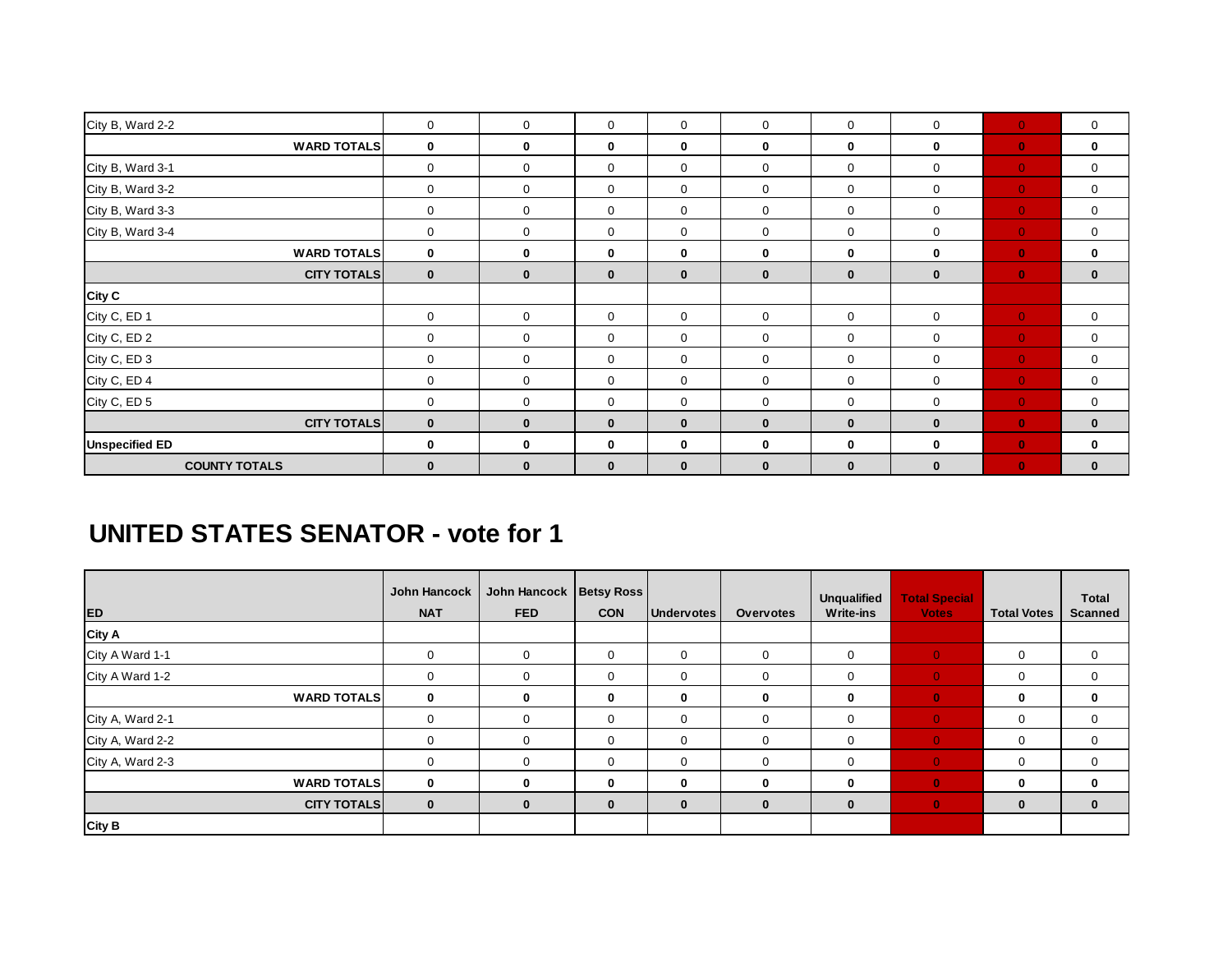| City B, Ward 2-2      | $\mathbf 0$  | $\mathbf 0$  | $\mathbf 0$  | $\mathbf 0$  | $\mathbf{0}$ | $\mathbf 0$  | $\mathbf 0$ | $\mathbf{0}$ | 0            |
|-----------------------|--------------|--------------|--------------|--------------|--------------|--------------|-------------|--------------|--------------|
| <b>WARD TOTALS</b>    | 0            | $\mathbf 0$  | 0            | 0            | $\mathbf 0$  | 0            | 0           | $\mathbf{0}$ | 0            |
| City B, Ward 3-1      | $\mathbf 0$  | $\mathbf 0$  | $\mathbf 0$  | $\mathbf 0$  | $\mathbf 0$  | $\mathbf 0$  | 0           | $\mathbf{0}$ | 0            |
| City B, Ward 3-2      | $\mathbf 0$  | $\mathbf 0$  | $\mathbf 0$  | $\mathbf 0$  | $\mathbf 0$  | $\mathbf 0$  | 0           | $\mathbf{0}$ | 0            |
| City B, Ward 3-3      | $\mathbf 0$  | $\mathbf 0$  | $\mathbf 0$  | $\mathbf 0$  | $\mathbf 0$  | $\mathbf 0$  | 0           | $\mathbf{0}$ | 0            |
| City B, Ward 3-4      | $\mathbf 0$  | $\mathbf 0$  | $\mathbf 0$  | $\mathbf 0$  | $\mathbf 0$  | $\mathbf 0$  | $\mathbf 0$ | $\mathbf{0}$ | $\mathbf 0$  |
| <b>WARD TOTALS</b>    | $\bf{0}$     | $\mathbf 0$  | 0            | 0            | $\mathbf 0$  | 0            | 0           | $\mathbf{0}$ | 0            |
| <b>CITY TOTALS</b>    | $\bf{0}$     | $\mathbf 0$  | $\mathbf{0}$ | $\bf{0}$     | $\mathbf 0$  | $\bf{0}$     | $\bf{0}$    | $\mathbf{0}$ | $\bf{0}$     |
| <b>City C</b>         |              |              |              |              |              |              |             |              |              |
| City C, ED 1          | $\mathbf 0$  | $\mathbf 0$  | $\mathbf 0$  | $\mathbf 0$  | $\mathbf 0$  | $\mathbf 0$  | 0           | $\mathbf{0}$ | $\mathbf 0$  |
| City C, ED 2          | $\mathbf 0$  | $\mathbf 0$  | $\mathbf 0$  | $\mathbf 0$  | $\mathbf 0$  | $\mathbf 0$  | 0           | $\mathbf{0}$ | 0            |
| City C, ED 3          | $\mathbf 0$  | $\mathbf 0$  | $\mathbf 0$  | $\mathbf 0$  | $\mathbf 0$  | $\mathbf 0$  | 0           | $\mathbf{0}$ | $\mathbf 0$  |
| City C, ED 4          | $\mathbf 0$  | $\mathbf 0$  | 0            | $\mathbf 0$  | $\mathbf 0$  | $\mathbf 0$  | 0           | $\mathbf{0}$ | 0            |
| City C, ED 5          | $\mathbf 0$  | $\mathbf 0$  | $\mathbf 0$  | $\mathbf 0$  | $\mathbf 0$  | $\mathbf 0$  | 0           | $\mathbf{0}$ | 0            |
| <b>CITY TOTALS</b>    | $\mathbf{0}$ | $\mathbf{0}$ | $\mathbf{0}$ | $\mathbf{0}$ | $\mathbf{0}$ | $\mathbf{0}$ | $\bf{0}$    | $\mathbf{0}$ | $\mathbf{0}$ |
| <b>Unspecified ED</b> | $\mathbf 0$  | $\mathbf 0$  | $\mathbf 0$  | 0            | $\bf{0}$     | $\mathbf 0$  | $\bf{0}$    | $\bullet$    | 0            |
| <b>COUNTY TOTALS</b>  | $\mathbf{0}$ | $\mathbf{0}$ | $\mathbf{0}$ | $\bf{0}$     | $\mathbf{0}$ | $\mathbf 0$  | $\bf{0}$    | $\bullet$    | $\mathbf{0}$ |

#### **UNITED STATES SENATOR - vote for 1**

| <b>ED</b>          | John Hancock<br><b>NAT</b> | John Hancock   Betsy Ross<br><b>FED</b> | <b>CON</b>   | <b>Undervotes</b> | <b>Overvotes</b> | <b>Unqualified</b><br><b>Write-ins</b> | <b>Total Special</b><br><b>Votes</b> | <b>Total Votes</b> | <b>Total</b><br><b>Scanned</b> |
|--------------------|----------------------------|-----------------------------------------|--------------|-------------------|------------------|----------------------------------------|--------------------------------------|--------------------|--------------------------------|
| <b>City A</b>      |                            |                                         |              |                   |                  |                                        |                                      |                    |                                |
| City A Ward 1-1    | $\mathbf 0$                | $\mathbf 0$                             | $\mathbf 0$  | 0                 | $\mathbf 0$      | 0                                      | $\mathbf{0}$                         | 0                  | 0                              |
| City A Ward 1-2    | $\Omega$                   | $\mathbf 0$                             | $\mathbf 0$  | 0                 | $\Omega$         | $\Omega$                               | $\mathbf{0}$                         | 0                  | 0                              |
| <b>WARD TOTALS</b> | $\bf{0}$                   | $\bf{0}$                                | $\mathbf{0}$ | 0                 | $\bf{0}$         | $\Omega$                               | $\mathbf{0}$                         | 0                  | $\mathbf 0$                    |
| City A, Ward 2-1   | $\Omega$                   | $\Omega$                                | $\mathbf 0$  | 0                 | $\Omega$         | $\Omega$                               | $\mathbf{0}$                         | 0                  | 0                              |
| City A, Ward 2-2   | $\Omega$                   | $\Omega$                                | $\mathbf 0$  | 0                 | $\Omega$         | $\Omega$                               | $\mathbf{0}$                         | 0                  | $\mathbf 0$                    |
| City A, Ward 2-3   | $\Omega$                   | $\mathbf 0$                             | $\mathbf 0$  | 0                 | $\Omega$         | $\Omega$                               | $\Omega$                             | 0                  | $\mathbf 0$                    |
| <b>WARD TOTALS</b> | $\mathbf{0}$               | $\bf{0}$                                | $\mathbf{0}$ | 0                 | $\mathbf{0}$     | <sup>0</sup>                           | $\mathbf{0}$                         | 0                  | $\mathbf 0$                    |
| <b>CITY TOTALS</b> | $\bf{0}$                   | $\bf{0}$                                | $\mathbf{0}$ | $\bf{0}$          | $\bf{0}$         | $\bf{0}$                               | $\mathbf{0}$                         | $\bf{0}$           | $\bf{0}$                       |
| <b>City B</b>      |                            |                                         |              |                   |                  |                                        |                                      |                    |                                |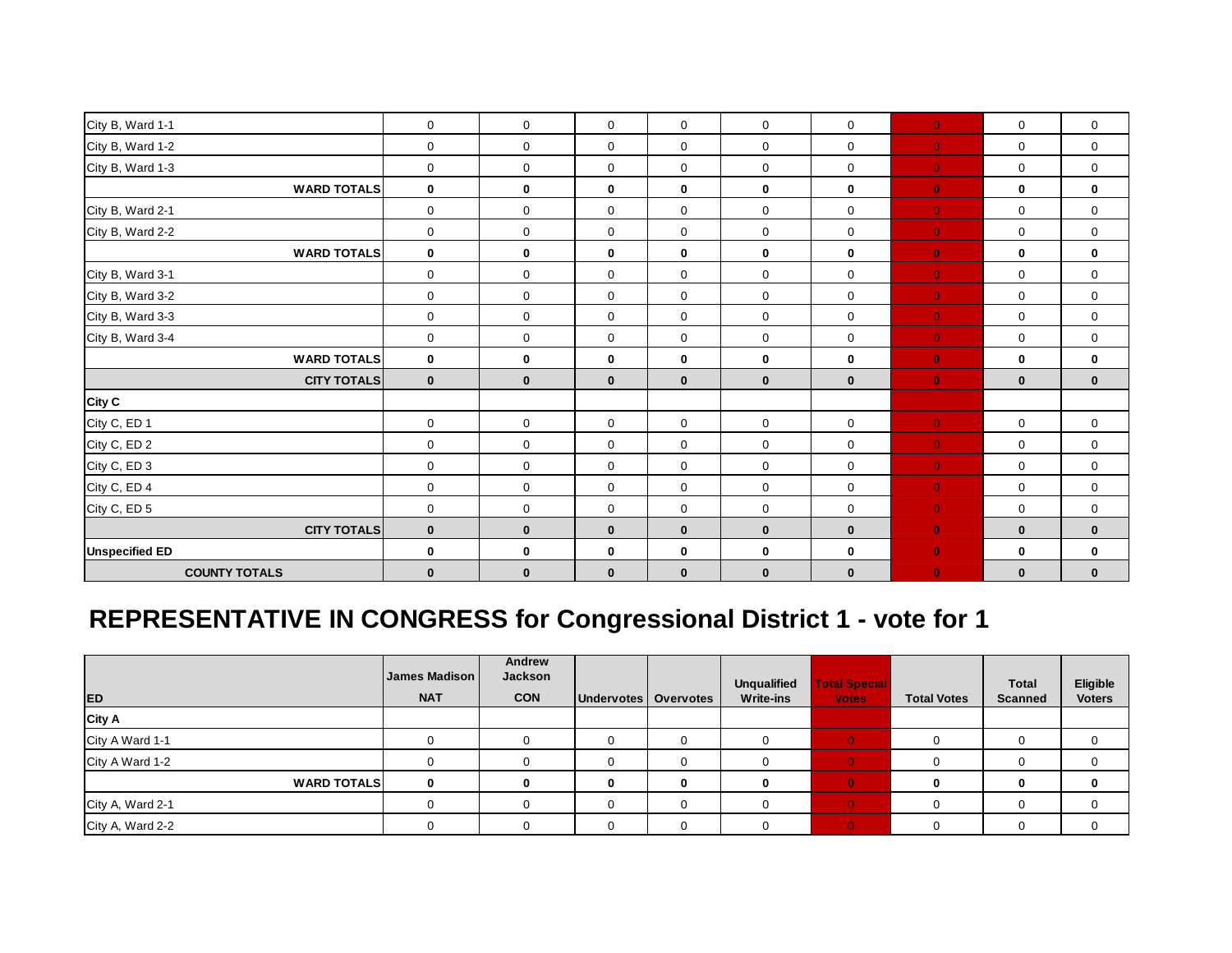| City B, Ward 1-1      | $\mathbf 0$         | $\mathbf 0$  | $\mathbf 0$  | $\mathbf 0$  | $\mathbf 0$  | $\mathbf 0$  | $\bullet$      | $\mathbf 0$  | $\mathbf 0$ |
|-----------------------|---------------------|--------------|--------------|--------------|--------------|--------------|----------------|--------------|-------------|
| City B, Ward 1-2      | $\mathbf 0$         | $\mathbf 0$  | $\mathbf 0$  | $\mathbf 0$  | $\mathbf 0$  | $\mathbf 0$  | $\mathbf{0}$   | $\mathbf 0$  | $\mathbf 0$ |
| City B, Ward 1-3      | $\mathbf 0$         | $\mathbf 0$  | $\mathbf 0$  | $\mathbf 0$  | $\mathbf 0$  | $\mathbf 0$  | $\mathbf{0}$   | $\mathbf 0$  | 0           |
| <b>WARD TOTALS</b>    | $\mathbf 0$         | $\mathbf 0$  | $\mathbf{0}$ | $\mathbf 0$  | $\mathbf 0$  | $\mathbf 0$  | $\bullet$      | $\bf{0}$     | 0           |
| City B, Ward 2-1      | $\mathbf 0$         | $\mathbf 0$  | $\mathbf 0$  | 0            | $\mathbf 0$  | $\mathbf 0$  | $\mathbf{0}$   | $\mathbf 0$  | $\mathbf 0$ |
| City B, Ward 2-2      | $\mathbf 0$         | $\mathbf 0$  | $\mathbf 0$  | 0            | $\mathbf 0$  | $\mathbf 0$  | $\mathbf{0}$   | $\mathbf 0$  | 0           |
| <b>WARD TOTALS</b>    | $\mathbf 0$         | $\mathbf 0$  | $\mathbf 0$  | $\mathbf 0$  | $\bf{0}$     | $\bf{0}$     | $\bullet$      | $\bf{0}$     | $\mathbf 0$ |
| City B, Ward 3-1      | $\mathsf{O}\xspace$ | $\mathbf 0$  | $\mathbf 0$  | 0            | $\mathbf 0$  | $\mathsf 0$  | $\mathbf{0}^-$ | $\mathsf 0$  | $\mathbf 0$ |
| City B, Ward 3-2      | $\mathbf 0$         | $\mathbf 0$  | $\mathbf 0$  | $\mathbf 0$  | $\mathbf 0$  | $\mathbf 0$  | $\mathbf{0}$   | $\mathbf 0$  | $\mathbf 0$ |
| City B, Ward 3-3      | $\mathbf 0$         | $\mathbf 0$  | $\mathbf 0$  | $\mathbf 0$  | $\mathbf 0$  | $\mathbf 0$  | $\mathbf{0}$   | $\mathbf 0$  | $\mathbf 0$ |
| City B, Ward 3-4      | $\mathbf 0$         | $\mathbf 0$  | $\mathbf 0$  | 0            | $\mathbf 0$  | $\mathbf 0$  | $\mathbf{0}$   | $\mathbf 0$  | 0           |
| <b>WARD TOTALS</b>    | $\mathbf 0$         | 0            | $\mathbf{0}$ | $\mathbf 0$  | $\mathbf 0$  | $\bf{0}$     | $\bullet$      | $\bf{0}$     | 0           |
| <b>CITY TOTALS</b>    | $\mathbf 0$         | $\bf{0}$     | $\mathbf 0$  | $\mathbf{0}$ | $\mathbf 0$  | $\bf{0}$     | $\mathbf{0}$   | $\bf{0}$     | $\mathbf 0$ |
| City C                |                     |              |              |              |              |              |                |              |             |
| City C, ED 1          | $\mathbf 0$         | $\mathbf 0$  | $\mathbf 0$  | $\mathbf 0$  | $\mathbf 0$  | $\mathbf 0$  | $\mathbf{0}$   | $\mathsf 0$  | $\mathbf 0$ |
| City C, ED 2          | $\mathbf 0$         | $\mathbf 0$  | $\mathbf 0$  | 0            | $\mathbf 0$  | $\mathbf 0$  | $\mathbf{0}$   | $\mathbf 0$  | $\mathbf 0$ |
| City C, ED 3          | $\mathbf 0$         | $\mathbf 0$  | $\mathbf 0$  | $\mathbf 0$  | $\mathbf 0$  | $\mathbf 0$  | $\overline{0}$ | $\mathbf 0$  | $\mathbf 0$ |
| City C, ED 4          | $\mathbf 0$         | $\mathbf 0$  | $\mathbf 0$  | 0            | $\mathbf 0$  | $\mathbf 0$  | $\mathbf{0}$   | $\mathbf 0$  | $\mathbf 0$ |
| City C, ED 5          | $\mathbf 0$         | $\mathbf 0$  | $\mathbf 0$  | 0            | $\mathbf 0$  | $\mathbf 0$  | $\bullet$      | $\mathbf 0$  | 0           |
| <b>CITY TOTALS</b>    | $\mathbf{0}$        | $\mathbf{0}$ | $\mathbf{0}$ | $\mathbf{0}$ | $\mathbf{0}$ | $\mathbf{0}$ | $\bullet$      | $\mathbf{0}$ | $\bf{0}$    |
| <b>Unspecified ED</b> | $\mathbf 0$         | $\bf{0}$     | $\mathbf 0$  | $\bf{0}$     | $\bf{0}$     | $\bf{0}$     | $\bullet$      | $\bf{0}$     | $\mathbf 0$ |
| <b>COUNTY TOTALS</b>  | $\mathbf 0$         | $\mathbf 0$  | $\mathbf 0$  | $\bf{0}$     | $\mathbf{0}$ | $\bf{0}$     | $\mathbf{0}$   | $\bf{0}$     | $\bf{0}$    |

# **REPRESENTATIVE IN CONGRESS for Congressional District 1 - vote for 1**

|                    | James Madison | Andrew<br>Jackson |                        |   | <b>Unqualified</b> | <b>Total Special</b> |                    | <b>Total</b>   | <b>Eligible</b> |
|--------------------|---------------|-------------------|------------------------|---|--------------------|----------------------|--------------------|----------------|-----------------|
| <b>ED</b>          | <b>NAT</b>    | <b>CON</b>        | Undervotes   Overvotes |   | <b>Write-ins</b>   | <b>Votes</b>         | <b>Total Votes</b> | <b>Scanned</b> | <b>Voters</b>   |
| City A             |               |                   |                        |   |                    |                      |                    |                |                 |
| City A Ward 1-1    |               |                   | 0                      |   |                    |                      |                    |                |                 |
| City A Ward 1-2    |               |                   | $\Omega$               |   |                    |                      |                    |                |                 |
| <b>WARD TOTALS</b> | $\bf{0}$      |                   | 0                      | 0 | 0                  |                      |                    |                |                 |
| City A, Ward 2-1   |               |                   | $\Omega$               |   |                    |                      |                    |                |                 |
| City A, Ward 2-2   |               |                   | 0                      |   |                    |                      |                    |                |                 |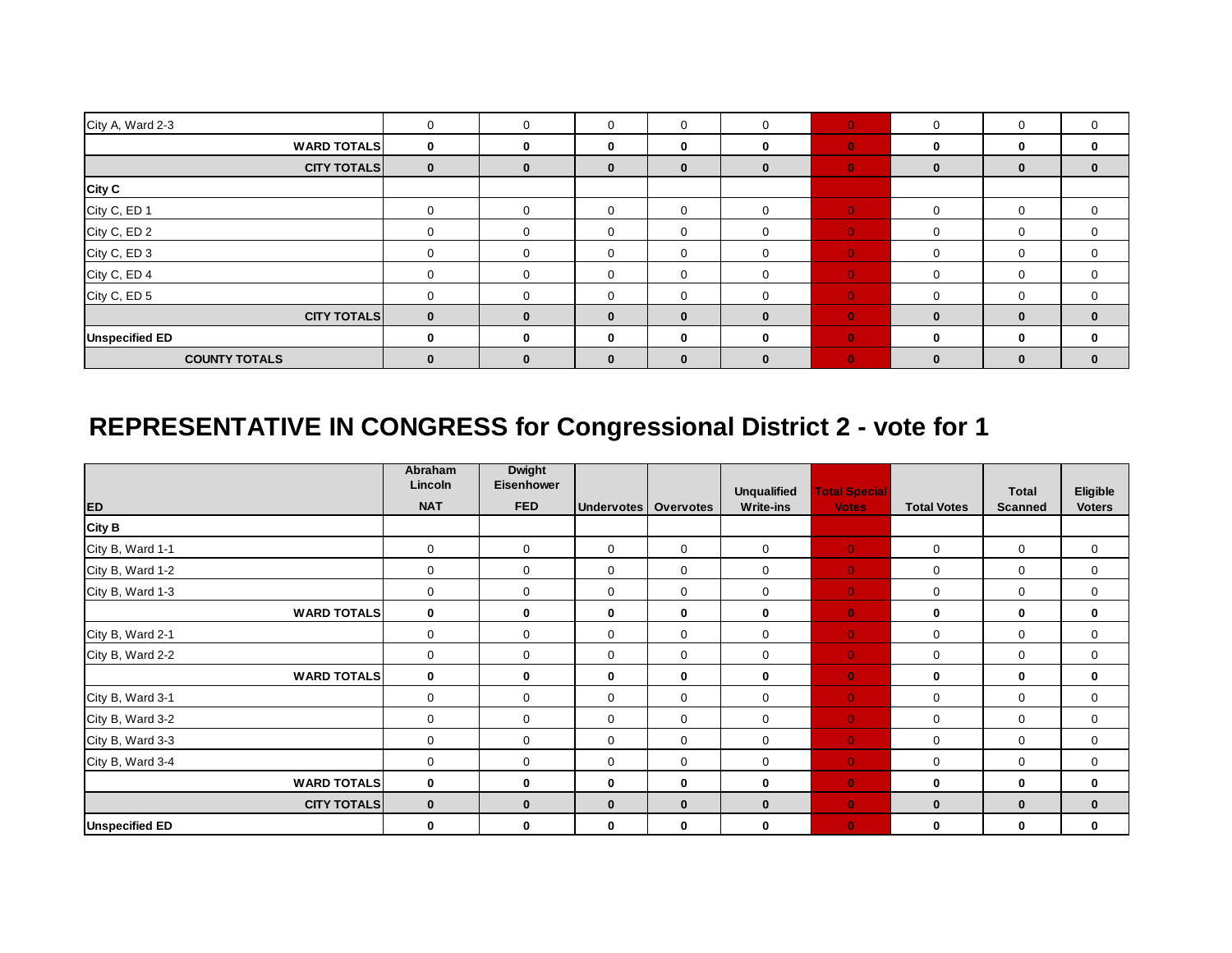| City A, Ward 2-3      | 0            | $\mathbf 0$  | $\mathbf 0$  | 0            | $\Omega$ | $\Omega$       | 0        | 0        | $\mathbf 0$  |
|-----------------------|--------------|--------------|--------------|--------------|----------|----------------|----------|----------|--------------|
| <b>WARD TOTALS</b>    | $\mathbf 0$  | $\mathbf 0$  | 0            | 0            | $\Omega$ | $\mathbf{0}$   | 0        | 0        | 0            |
| <b>CITY TOTALS</b>    | $\bf{0}$     | $\bf{0}$     | $\bf{0}$     | $\mathbf{0}$ | $\bf{0}$ | $\mathbf{0}$   | $\bf{0}$ | 0        | $\bf{0}$     |
| <b>City C</b>         |              |              |              |              |          |                |          |          |              |
| City C, ED 1          | $\Omega$     | $\mathbf 0$  | $\mathbf 0$  | $\Omega$     | $\Omega$ | $\Omega$       | $\Omega$ |          | 0            |
| City C, ED 2          | $\Omega$     | $\mathbf{0}$ | $\mathbf 0$  | $\Omega$     | $\Omega$ | $\Omega$       | 0        |          | 0            |
| City C, ED 3          | 0            | $\mathbf 0$  | 0            | 0            | $\Omega$ | $\Omega$       | 0        |          | 0            |
| City C, ED 4          | 0            | $\mathbf 0$  | 0            | 0            | $\Omega$ | $\overline{0}$ | 0        |          | $\mathbf{0}$ |
| City C, ED 5          | $\Omega$     | $\mathbf 0$  | 0            | $\Omega$     | $\Omega$ | $\overline{0}$ | 0        |          | 0            |
| <b>CITY TOTALS</b>    | $\mathbf{0}$ | $\bf{0}$     | $\mathbf{0}$ | $\bf{0}$     | $\bf{0}$ | $\mathbf{0}$   | $\bf{0}$ | $\bf{0}$ | $\bf{0}$     |
| <b>Unspecified ED</b> | $\bf{0}$     | $\bf{0}$     | $\bf{0}$     | 0            | $\Omega$ | $\mathbf{0}$   | 0        | 0        | $\bf{0}$     |
| <b>COUNTY TOTALS</b>  | $\bf{0}$     | $\mathbf{0}$ | $\bf{0}$     | $\bf{0}$     | $\bf{0}$ | $\mathbf{0}$   | 0        | 0        | $\bf{0}$     |

# **REPRESENTATIVE IN CONGRESS for Congressional District 2 - vote for 1**

|                       | Abraham<br>Lincoln | <b>Dwight</b><br>Eisenhower |                   |                  |                                        |                                      |                    |                                |                           |
|-----------------------|--------------------|-----------------------------|-------------------|------------------|----------------------------------------|--------------------------------------|--------------------|--------------------------------|---------------------------|
| <b>ED</b>             | <b>NAT</b>         | <b>FED</b>                  | <b>Undervotes</b> | <b>Overvotes</b> | <b>Unqualified</b><br><b>Write-ins</b> | <b>Total Special</b><br><b>Votes</b> | <b>Total Votes</b> | <b>Total</b><br><b>Scanned</b> | Eligible<br><b>Voters</b> |
| <b>City B</b>         |                    |                             |                   |                  |                                        |                                      |                    |                                |                           |
| City B, Ward 1-1      | $\mathbf 0$        | $\mathbf{0}$                | $\mathbf 0$       | $\mathbf 0$      | $\mathbf 0$                            | $\overline{0}$                       | $\mathbf 0$        | $\mathbf 0$                    | 0                         |
| City B, Ward 1-2      | 0                  | $\mathbf 0$                 | $\mathbf 0$       | 0                | $\mathbf 0$                            | $\overline{0}$                       | 0                  | 0                              | 0                         |
| City B, Ward 1-3      | $\mathbf 0$        | $\mathbf 0$                 | $\mathbf 0$       | 0                | 0                                      | $\overline{0}$                       | 0                  | 0                              | 0                         |
| <b>WARD TOTALS</b>    | $\mathbf 0$        | $\mathbf 0$                 | $\mathbf 0$       | 0                | 0                                      | $\bullet$                            | 0                  | $\bf{0}$                       | 0                         |
| City B, Ward 2-1      | $\mathbf 0$        | $\mathbf{0}$                | $\mathbf 0$       | $\mathbf 0$      | $\mathbf 0$                            | $\overline{0}$                       | 0                  | $\mathbf 0$                    | 0                         |
| City B, Ward 2-2      | $\mathbf 0$        | $\mathbf 0$                 | $\mathbf 0$       | $\mathbf 0$      | $\Omega$                               | $\overline{0}$                       | 0                  | $\mathbf 0$                    | 0                         |
| <b>WARD TOTALS</b>    | $\mathbf 0$        | 0                           | 0                 | 0                | $\mathbf 0$                            | $\mathbf{0}$                         | 0                  | $\mathbf 0$                    | 0                         |
| City B, Ward 3-1      | $\mathbf 0$        | 0                           | $\mathbf 0$       | $\mathbf 0$      | $\mathbf 0$                            | $\overline{0}$                       | $\mathbf 0$        | $\mathbf 0$                    | 0                         |
| City B, Ward 3-2      | 0                  | $\mathbf 0$                 | $\mathbf 0$       | 0                | $\mathbf 0$                            | $\overline{0}$                       | 0                  | $\mathbf 0$                    | 0                         |
| City B, Ward 3-3      | 0                  | $\mathbf 0$                 | 0                 | 0                | $\mathbf 0$                            | $\overline{0}$                       | 0                  | 0                              | 0                         |
| City B, Ward 3-4      | $\mathbf 0$        | $\mathbf 0$                 | $\mathbf 0$       | 0                | $\mathbf 0$                            | $\overline{0}$                       | 0                  | 0                              | 0                         |
| <b>WARD TOTALS</b>    | $\mathbf{0}$       | $\mathbf 0$                 | 0                 | 0                | $\bf{0}$                               | $\bullet$                            | 0                  | $\mathbf 0$                    | 0                         |
| <b>CITY TOTALS</b>    | $\mathbf{0}$       | $\bf{0}$                    | $\mathbf{0}$      | $\bf{0}$         | $\mathbf{0}$                           | $\bullet$                            | $\bf{0}$           | $\bf{0}$                       | $\bf{0}$                  |
| <b>Unspecified ED</b> | $\mathbf 0$        | $\mathbf 0$                 | $\mathbf 0$       | 0                | $\bf{0}$                               | $\mathbf{0}$                         | $\bf{0}$           | 0                              | $\bf{0}$                  |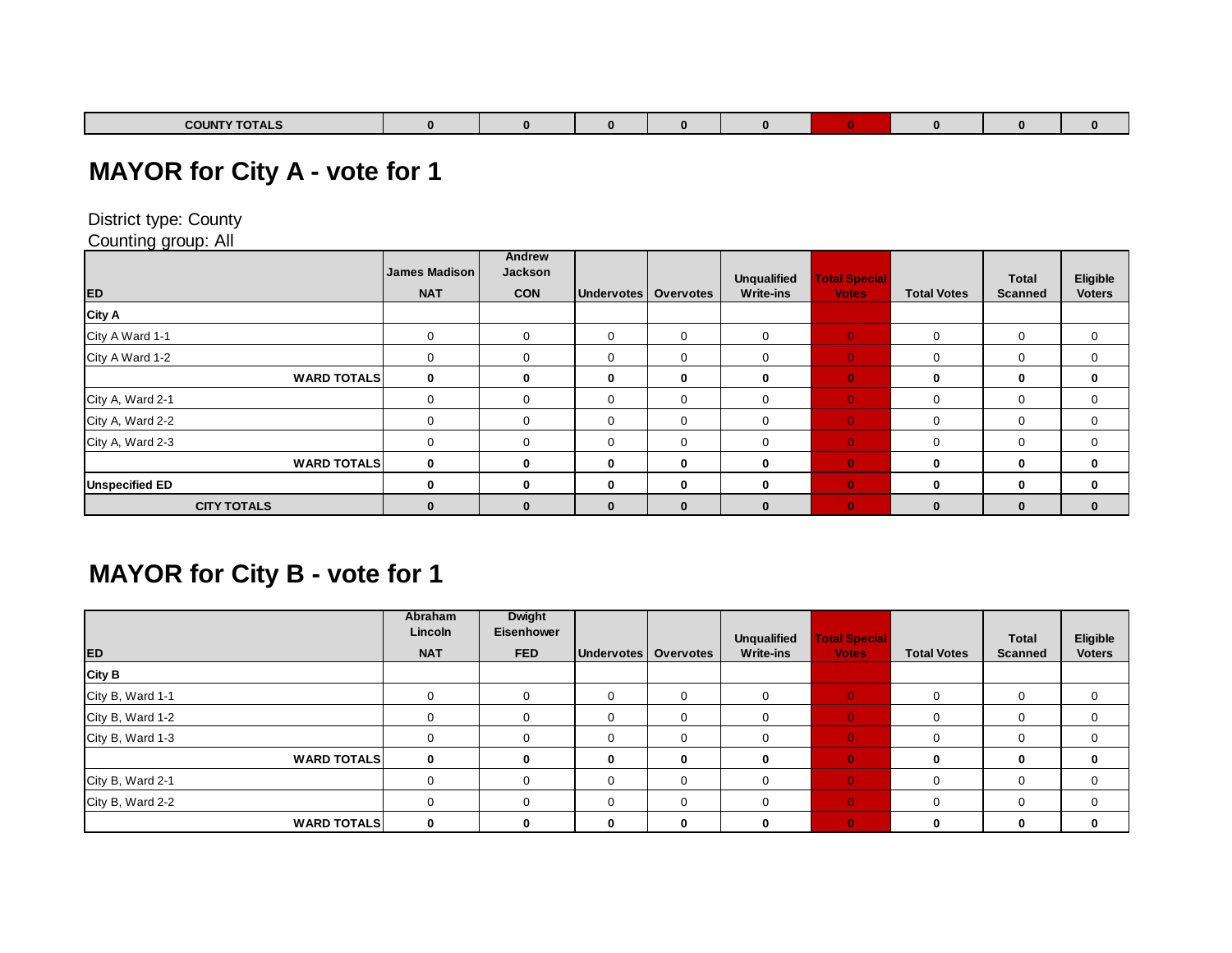| <b>COUNTY TOTALS</b><br><b>TOTALS</b> |  |  |  |  |  |
|---------------------------------------|--|--|--|--|--|

### **MAYOR for City A - vote for 1**

District type: County

Counting group: All

|                       | James Madison | Andrew<br>Jackson |                   |                  | <b>Unqualified</b> | <b>Total Special</b> |                    | <b>Total</b>   | Eligible      |
|-----------------------|---------------|-------------------|-------------------|------------------|--------------------|----------------------|--------------------|----------------|---------------|
| <b>ED</b>             | <b>NAT</b>    | <b>CON</b>        | <b>Undervotes</b> | <b>Overvotes</b> | <b>Write-ins</b>   | <b>Votes</b>         | <b>Total Votes</b> | <b>Scanned</b> | <b>Voters</b> |
| City A                |               |                   |                   |                  |                    |                      |                    |                |               |
| City A Ward 1-1       |               | $\mathbf 0$       | $\Omega$          | $\Omega$         | $\Omega$           | $\Omega$             | $\Omega$           | 0              | $\mathbf 0$   |
| City A Ward 1-2       |               | $\Omega$          | $\Omega$          | $\Omega$         | $\Omega$           | $\Omega$             | 0                  | 0              | 0             |
| <b>WARD TOTALS</b>    | $\bf{0}$      | $\mathbf{0}$      | $\bf{0}$          | 0                | $\bf{0}$           | $\mathbf{0}$         | 0                  | 0              | $\mathbf 0$   |
| City A, Ward 2-1      |               | $\mathbf 0$       | $\overline{0}$    | 0                | $\Omega$           | $\overline{0}$       | 0                  | 0              | $\mathbf 0$   |
| City A, Ward 2-2      |               | $\Omega$          | $\Omega$          | $\Omega$         | $\Omega$           | $\Omega$             | 0                  | 0              | 0             |
| City A, Ward 2-3      | $\Omega$      | $\Omega$          | $\Omega$          | $\Omega$         | $\Omega$           | $\Omega$             | $\Omega$           | 0              | 0             |
| <b>WARD TOTALS</b>    | $\bf{0}$      | $\mathbf{0}$      | $\bf{0}$          | 0                | $\Omega$           | $\mathbf{0}$         | 0                  | 0              | $\mathbf 0$   |
| <b>Unspecified ED</b> |               | $\Omega$          | $\bf{0}$          | 0                | $\Omega$           | $\mathbf{0}$         | $\Omega$           | 0              | $\mathbf 0$   |
| <b>CITY TOTALS</b>    | 0             | $\bf{0}$          | $\bf{0}$          | $\bf{0}$         | $\bf{0}$           | $\mathbf{0}$         | $\bf{0}$           | $\bf{0}$       | $\bf{0}$      |

# **MAYOR for City B - vote for 1**

| <b>ED</b>          | Abraham<br>Lincoln<br><b>NAT</b> | <b>Dwight</b><br><b>Eisenhower</b><br><b>FED</b> | Undervotes   Overvotes |             | <b>Unqualified</b><br><b>Write-ins</b> | <b>Total Special</b><br><b>Votes</b> | <b>Total Votes</b> | <b>Total</b><br>Scanned | Eligible<br><b>Voters</b> |
|--------------------|----------------------------------|--------------------------------------------------|------------------------|-------------|----------------------------------------|--------------------------------------|--------------------|-------------------------|---------------------------|
| <b>City B</b>      |                                  |                                                  |                        |             |                                        |                                      |                    |                         |                           |
| City B, Ward 1-1   |                                  | $\Omega$                                         | $\mathbf 0$            | $\Omega$    | $\Omega$                               | $\mathbf{0}$                         |                    |                         | 0                         |
| City B, Ward 1-2   |                                  | $\Omega$                                         | $\mathbf 0$            | 0           | $\Omega$                               | $\mathbf{0}$                         |                    |                         | 0                         |
| City B, Ward 1-3   |                                  | $\Omega$                                         | 0                      | $\mathbf 0$ | $\Omega$                               | $\mathbf{0}$                         |                    |                         | 0                         |
| <b>WARD TOTALS</b> | $\bf{0}$                         | $\bf{0}$                                         | $\bf{0}$               | $\mathbf 0$ | $\bf{0}$                               | $\mathbf{0}$                         | 0                  | 0                       | 0                         |
| City B, Ward 2-1   |                                  | $\Omega$                                         | $\Omega$               |             | $\Omega$                               | $\mathbf{0}$                         |                    |                         | 0                         |
| City B, Ward 2-2   |                                  | $\Omega$                                         | $\mathbf 0$            | $\Omega$    | $\Omega$                               | $\mathbf{0}$                         |                    |                         | $\Omega$                  |
| <b>WARD TOTALS</b> |                                  | 0                                                | $\bf{0}$               | $\bf{0}$    | $\bf{0}$                               | $\mathbf{0}$                         | 0                  |                         | 0                         |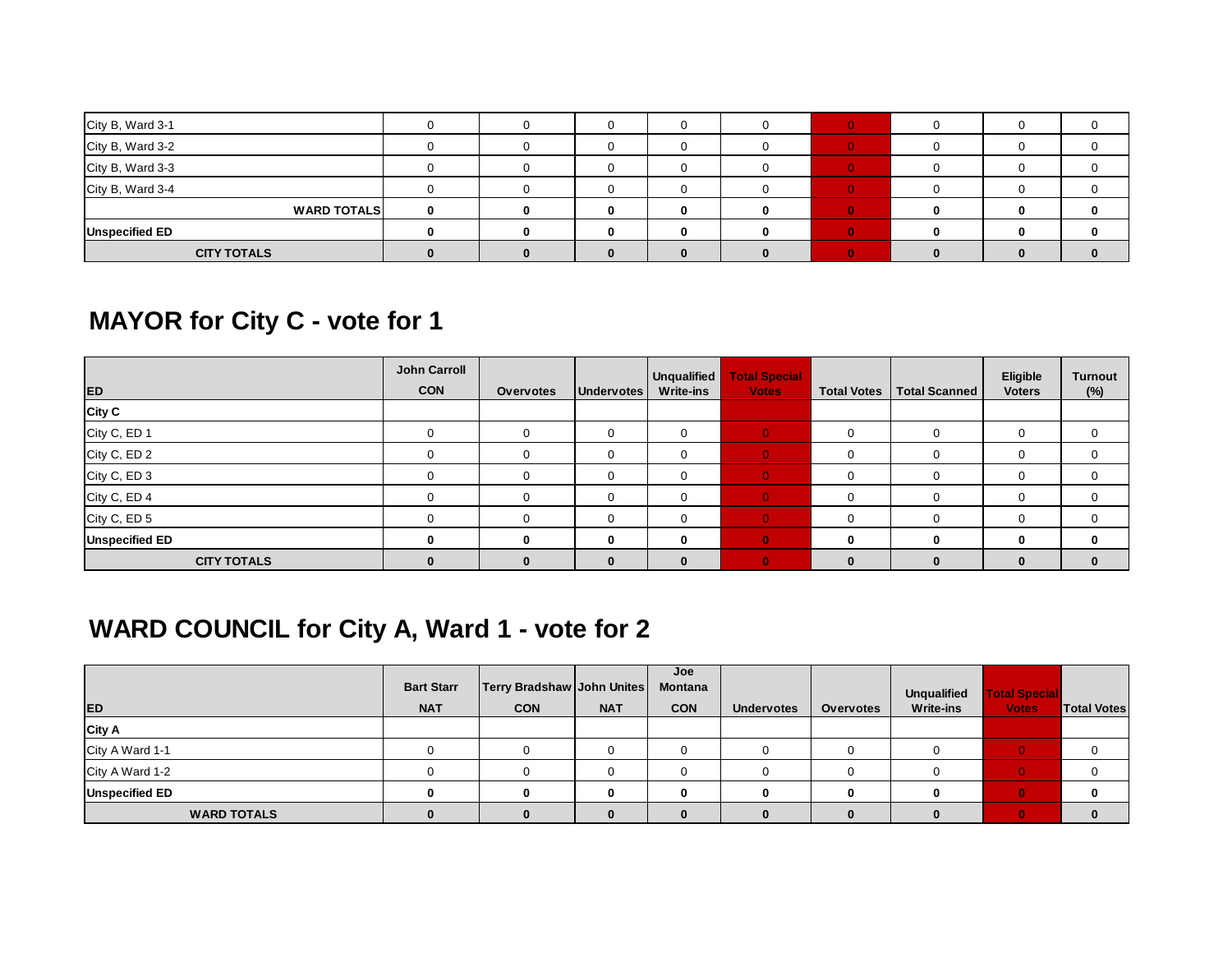| City B, Ward 3-1      |  | 0 |  |  |  |
|-----------------------|--|---|--|--|--|
| City B, Ward 3-2      |  | 0 |  |  |  |
| City B, Ward 3-3      |  | 0 |  |  |  |
| City B, Ward 3-4      |  |   |  |  |  |
| <b>WARD TOTALS</b>    |  | 0 |  |  |  |
| <b>Unspecified ED</b> |  | 0 |  |  |  |
| <b>CITY TOTALS</b>    |  |   |  |  |  |

# **MAYOR for City C - vote for 1**

| ED                    | <b>John Carroll</b><br><b>CON</b> | Overvotes    | <b>Undervotes</b> | Unqualified<br><b>Write-ins</b> | <b>Total Special</b><br><b>Votes</b> | <b>Total Votes</b> | <b>Total Scanned</b> | Eligible<br><b>Voters</b> | <b>Turnout</b><br>(%) |
|-----------------------|-----------------------------------|--------------|-------------------|---------------------------------|--------------------------------------|--------------------|----------------------|---------------------------|-----------------------|
| <b>City C</b>         |                                   |              |                   |                                 |                                      |                    |                      |                           |                       |
| City C, ED 1          |                                   | $\Omega$     | 0                 | 0                               |                                      |                    |                      |                           |                       |
| City C, ED 2          |                                   |              | 0                 | 0                               |                                      |                    |                      | 0                         |                       |
| City C, ED 3          |                                   | $\Omega$     | $\mathbf 0$       | 0                               |                                      |                    |                      | 0                         |                       |
| City C, ED 4          |                                   |              | 0                 | 0                               |                                      |                    |                      |                           |                       |
| City C, ED 5          |                                   | $\Omega$     | 0                 | $\Omega$                        |                                      |                    |                      | 0                         |                       |
| <b>Unspecified ED</b> | ŋ                                 | <sup>0</sup> | $\bf{0}$          | $\Omega$                        |                                      |                    |                      | 0                         |                       |
| <b>CITY TOTALS</b>    |                                   | $\Omega$     | $\bf{0}$          | 0                               |                                      |                    |                      |                           |                       |

# **WARD COUNCIL for City A, Ward 1 - vote for 2**

|                       | <b>Bart Starr</b> | <b>Terry Bradshaw John Unites</b> |            | Joe<br><b>Montana</b> |                   |                  | Unqualified      | <b>Total Special</b> |                    |
|-----------------------|-------------------|-----------------------------------|------------|-----------------------|-------------------|------------------|------------------|----------------------|--------------------|
| <b>ED</b>             | <b>NAT</b>        | <b>CON</b>                        | <b>NAT</b> | <b>CON</b>            | <b>Undervotes</b> | <b>Overvotes</b> | <b>Write-ins</b> | <b>Votes</b>         | <b>Total Votes</b> |
| City A                |                   |                                   |            |                       |                   |                  |                  |                      |                    |
| City A Ward 1-1       |                   |                                   |            |                       |                   |                  |                  |                      |                    |
| City A Ward 1-2       |                   |                                   |            |                       |                   |                  |                  |                      |                    |
| <b>Unspecified ED</b> |                   | Λ                                 | $\Omega$   |                       |                   |                  |                  |                      |                    |
| <b>WARD TOTALS</b>    |                   |                                   |            |                       |                   |                  |                  |                      |                    |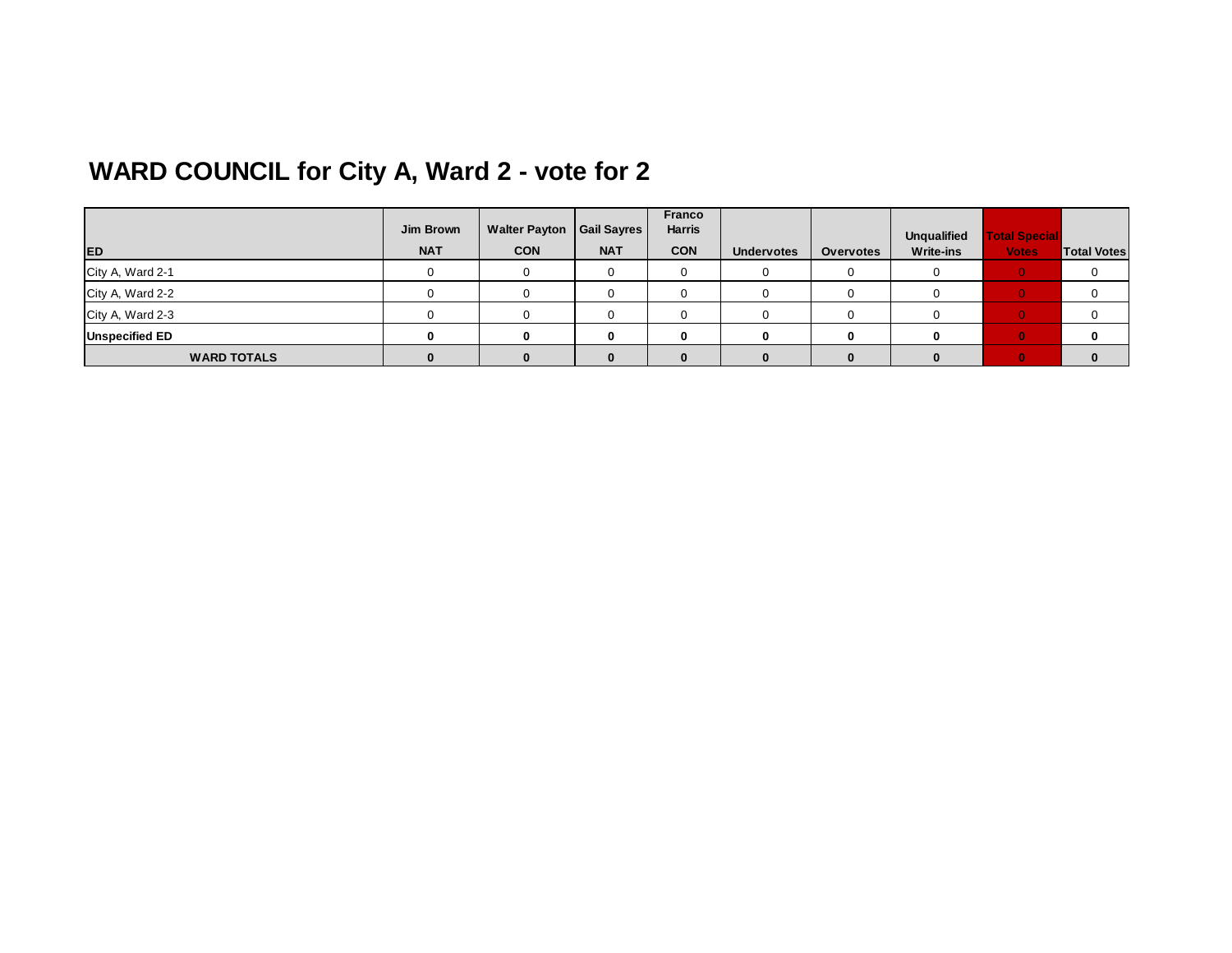# **WARD COUNCIL for City A, Ward 2 - vote for 2**

|                       | Jim Brown  | Walter Payton   Gail Sayres |            | <b>Franco</b><br><b>Harris</b> |                   |                  | <b>Unqualified</b> | <b>Total Special</b> |                    |
|-----------------------|------------|-----------------------------|------------|--------------------------------|-------------------|------------------|--------------------|----------------------|--------------------|
| <b>ED</b>             | <b>NAT</b> | <b>CON</b>                  | <b>NAT</b> | <b>CON</b>                     | <b>Undervotes</b> | <b>Overvotes</b> | <b>Write-ins</b>   | <b>Votes</b>         | <b>Total Votes</b> |
| City A, Ward 2-1      |            |                             |            |                                |                   |                  |                    |                      | 0                  |
| City A, Ward 2-2      |            |                             |            |                                |                   |                  |                    |                      |                    |
| City A, Ward 2-3      |            |                             |            |                                |                   |                  |                    |                      | 0                  |
| <b>Unspecified ED</b> |            |                             |            |                                |                   |                  |                    |                      | $\bf{0}$           |
| <b>WARD TOTALS</b>    |            |                             |            |                                |                   |                  |                    |                      | $\bf{0}$           |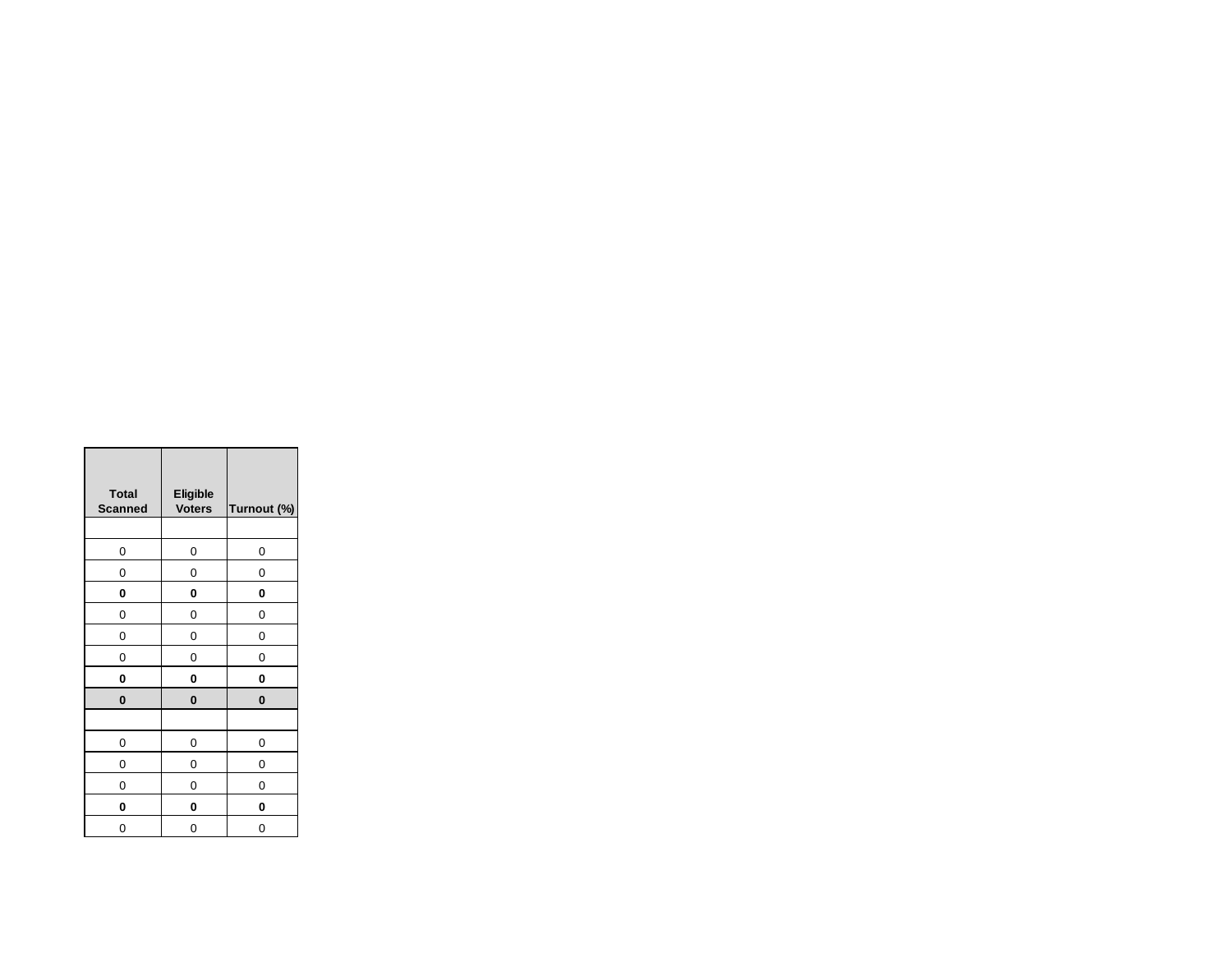| <b>Total</b><br><b>Scanned</b> | Eligible<br><b>Voters</b> | Turnout (%) |
|--------------------------------|---------------------------|-------------|
|                                |                           |             |
| 0                              | 0                         | 0           |
| 0                              | 0                         | 0           |
| 0                              | 0                         | 0           |
| 0                              | 0                         | 0           |
| 0                              | 0                         | 0           |
| 0                              | 0                         | 0           |
| 0                              | 0                         | 0           |
| $\bf{0}$                       | 0                         | $\bf{0}$    |
|                                |                           |             |
| 0                              | 0                         | 0           |
| 0                              | 0                         | 0           |
| 0                              | 0                         | 0           |
| 0                              | 0                         | 0           |
| 0                              | 0                         | 0           |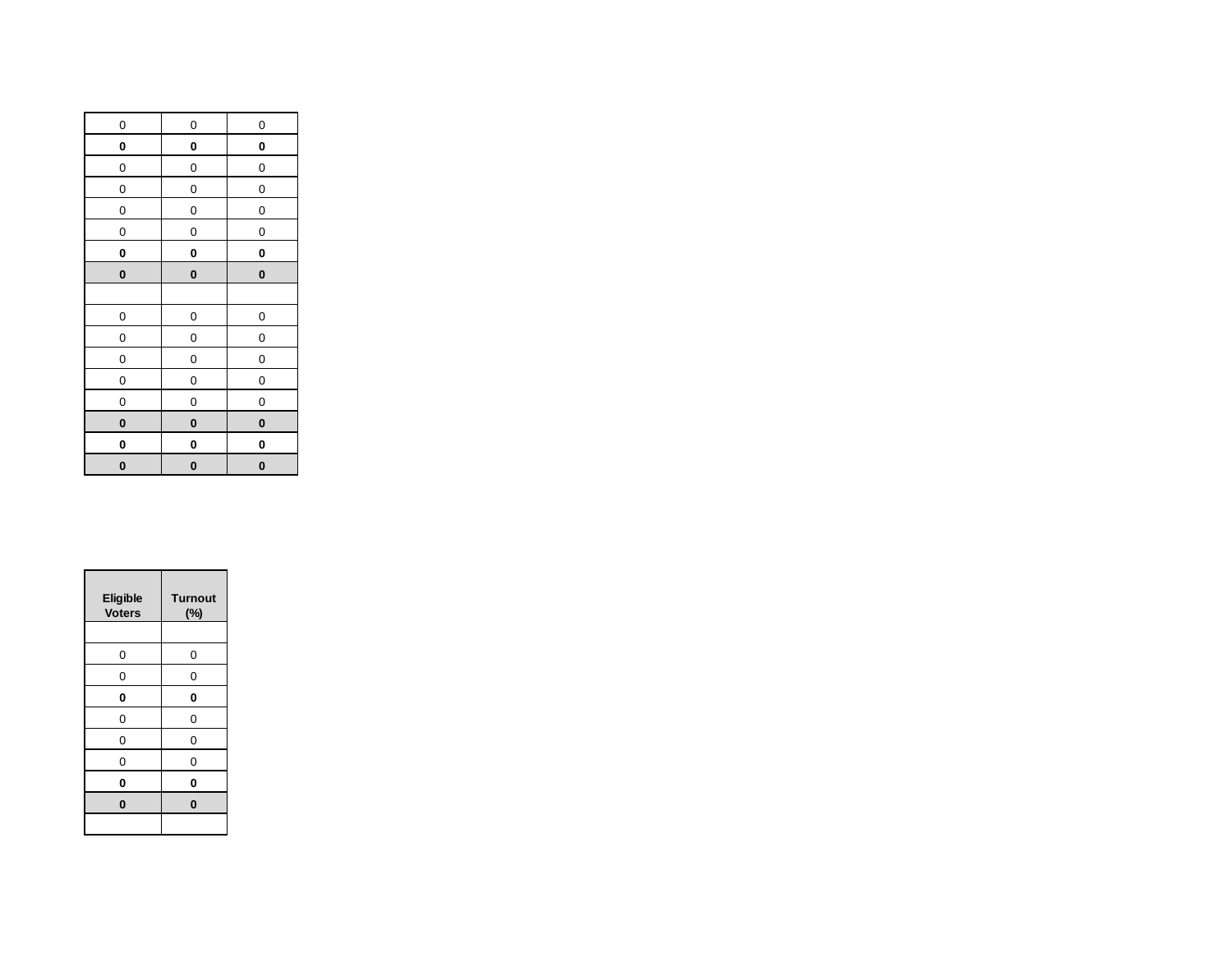| 0            | 0           | 0            |
|--------------|-------------|--------------|
| 0            | 0           | 0            |
| 0            | 0           | 0            |
| $\mathbf{0}$ | 0           | $\mathbf{0}$ |
| 0            | 0           | $\mathbf 0$  |
| 0            | 0           | 0            |
| 0            | 0           | 0            |
| 0            | $\mathbf 0$ | $\bf{0}$     |
|              |             |              |
| 0            | 0           | 0            |
| 0            | 0           | 0            |
| 0            | 0           | 0            |
| 0            | 0           | 0            |
| 0            | 0           | 0            |
| O            | $\bf{0}$    | $\bf{0}$     |
| 0            | 0           | 0            |
| 0            | 0           | $\bf{0}$     |

| <b>Eligible</b><br><b>Voters</b> | <b>Turnout</b><br>$(\%)$ |
|----------------------------------|--------------------------|
|                                  |                          |
| 0                                | 0                        |
| 0                                | 0                        |
| 0                                | 0                        |
| 0                                | 0                        |
| 0                                | 0                        |
| 0                                | 0                        |
| 0                                | 0                        |
| $\bf{0}$                         | $\bf{0}$                 |
|                                  |                          |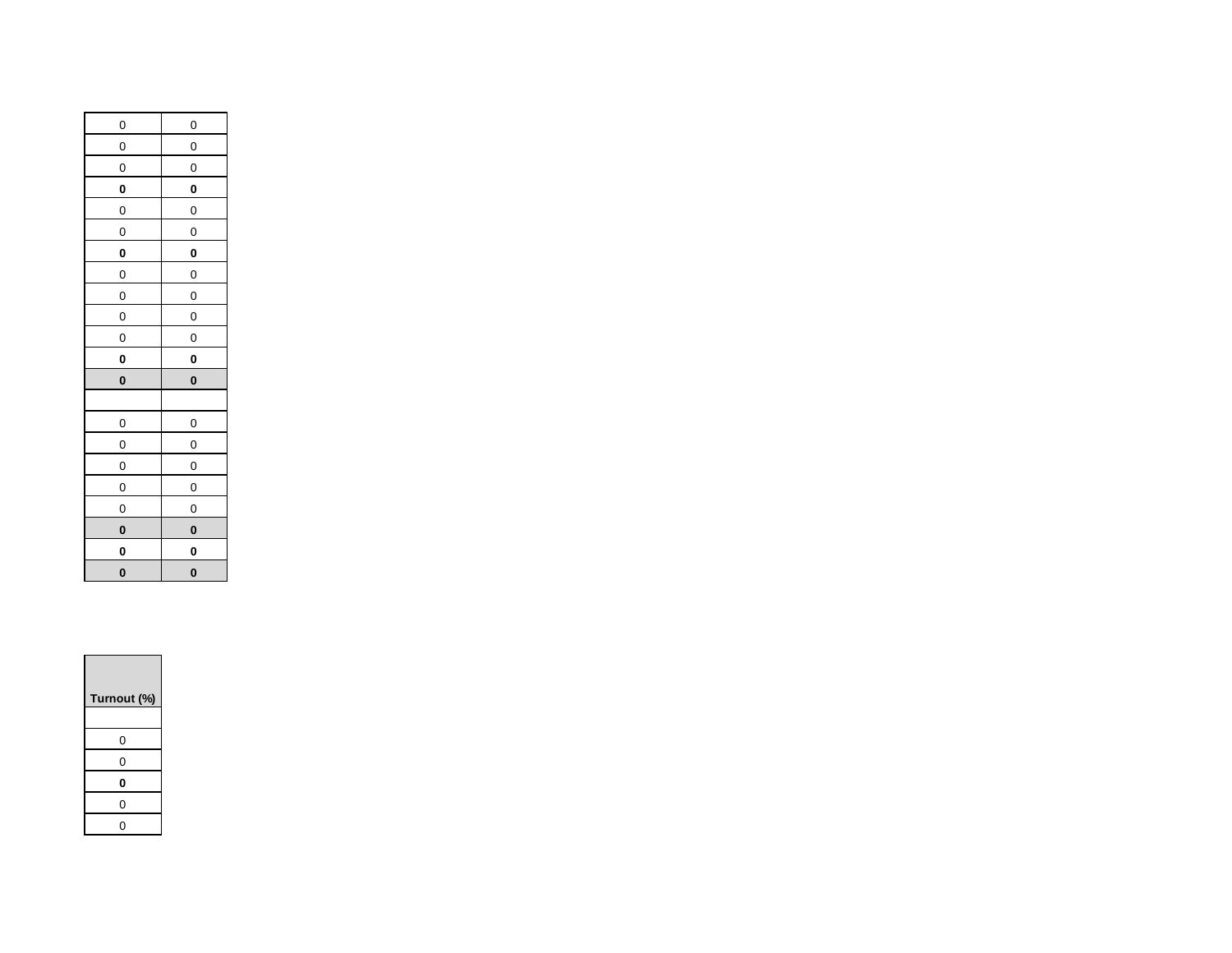| 0            | 0            |
|--------------|--------------|
| 0            | 0            |
| $\mathbf{0}$ | $\mathbf{0}$ |
| 0            | 0            |
| 0            | 0            |
| 0            | 0            |
| 0            | 0            |
| 0            | 0            |
| 0            | 0            |
| $\mathbf{0}$ | $\mathbf{0}$ |
| 0            | 0            |
|              |              |
| 0            | 0            |
| 0            | 0            |
|              |              |
| $\mathbf{0}$ | 0            |
| 0            | 0            |
| 0            | 0            |
| 0            | 0            |
| $\mathbf{0}$ | $\mathbf{0}$ |
| 0            | 0            |
| 0            | 0            |
| 0            | 0            |

| Turnout (%) |
|-------------|
|             |
| 0           |
| 0           |
| 0           |
| 0           |
|             |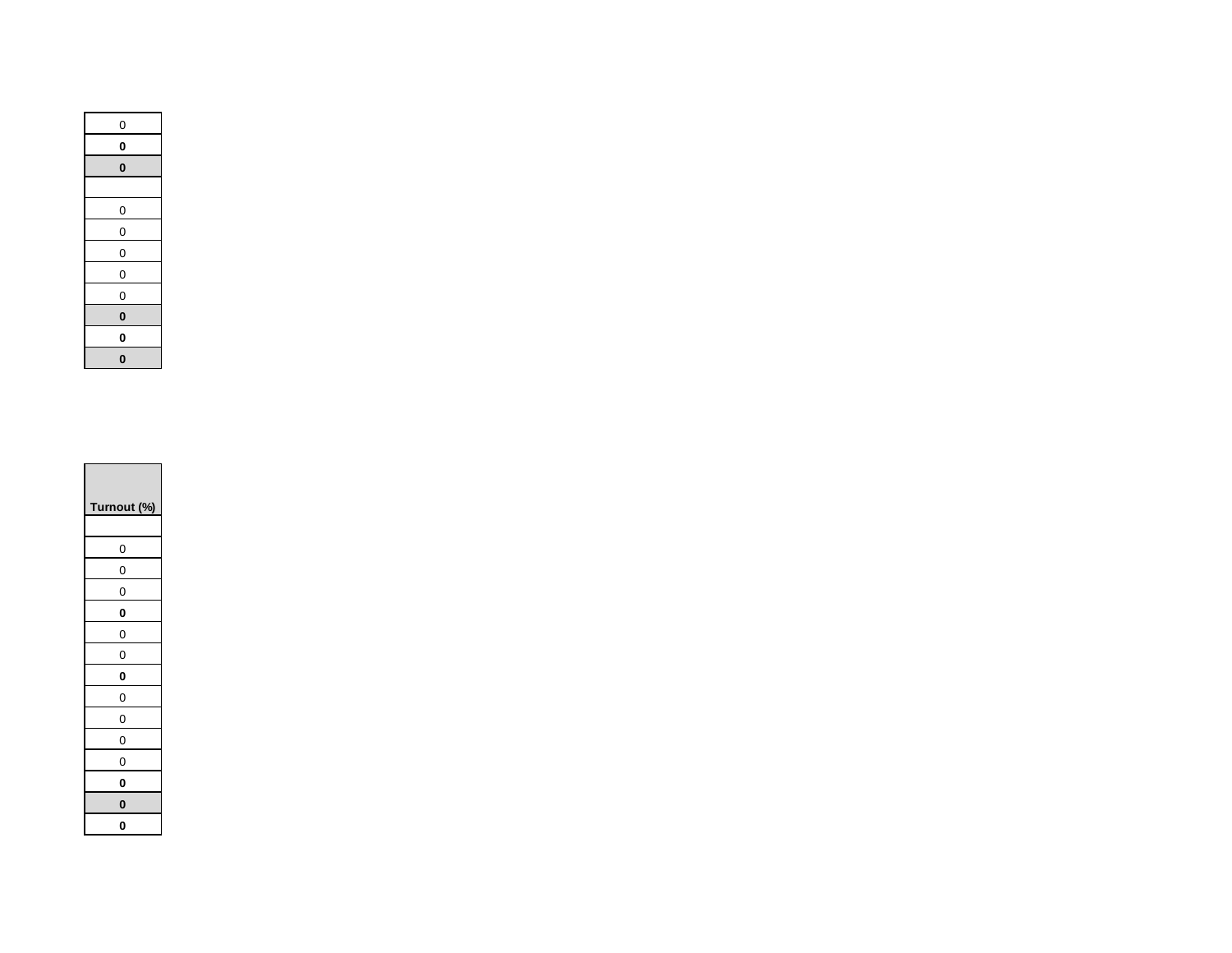| $\mathbf{0}$ |
|--------------|
| 0            |
| O            |
|              |
| $\mathbf{0}$ |
| $\mathbf{0}$ |
| $\mathbf{0}$ |
| $\mathbf{0}$ |
| 0            |
| 0            |
| 0            |
| $\bf{0}$     |

| Turnout (%) |
|-------------|
|             |
| 0           |
| 0           |
| 0           |
| 0           |
| 0           |
| 0           |
| 0           |
| 0           |
| 0           |
| 0           |
| 0           |
| 0           |
| 0           |
| 0           |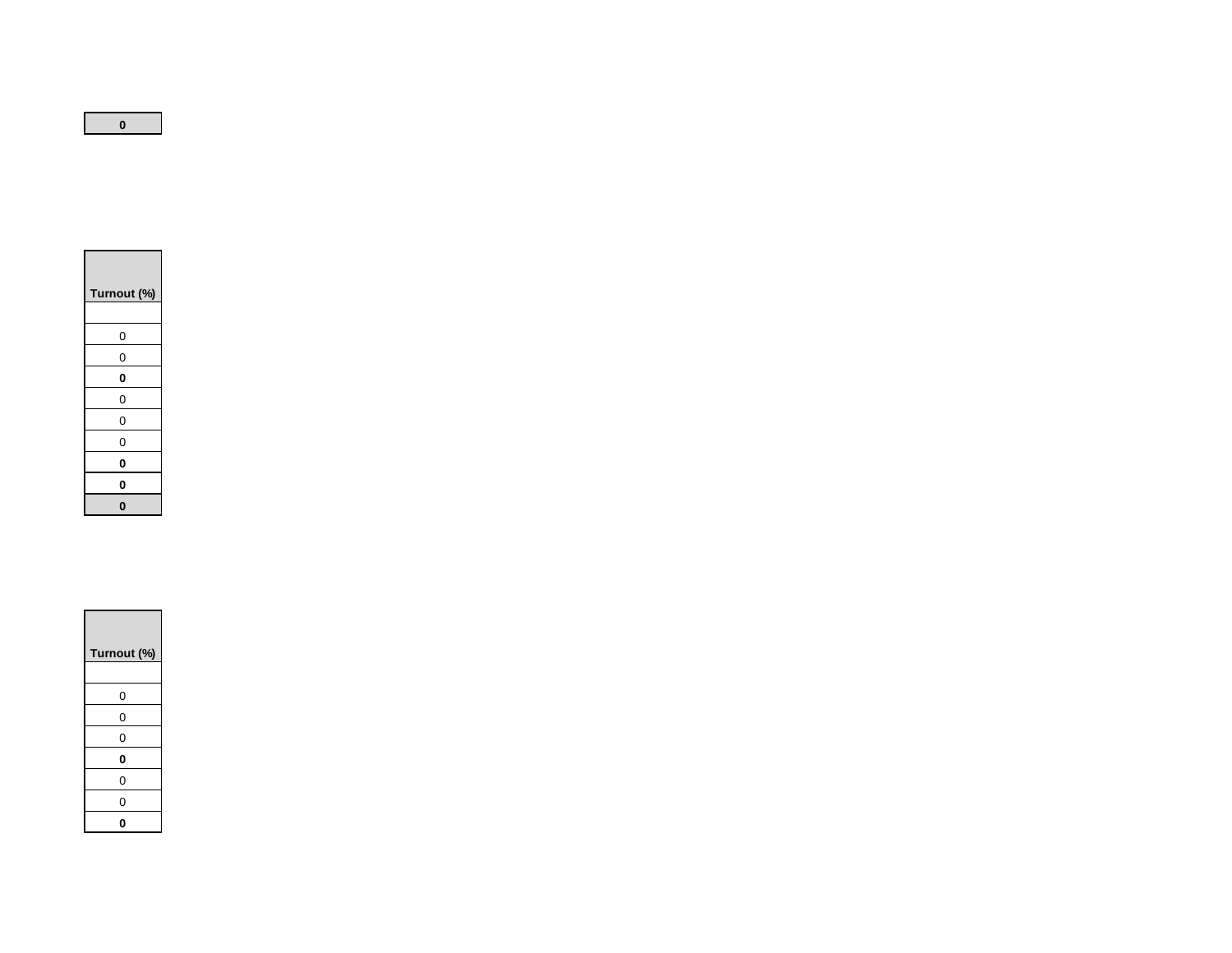| Turnout (%) |
|-------------|
| 0           |
| 0           |
| 0           |
| 0           |
| 0           |
| 0           |
| 0           |
| O           |
| 0           |

| Turnout (%) |
|-------------|
| 0           |
| 0           |
| 0           |
| 0           |
| 0           |
| 0           |
| 0           |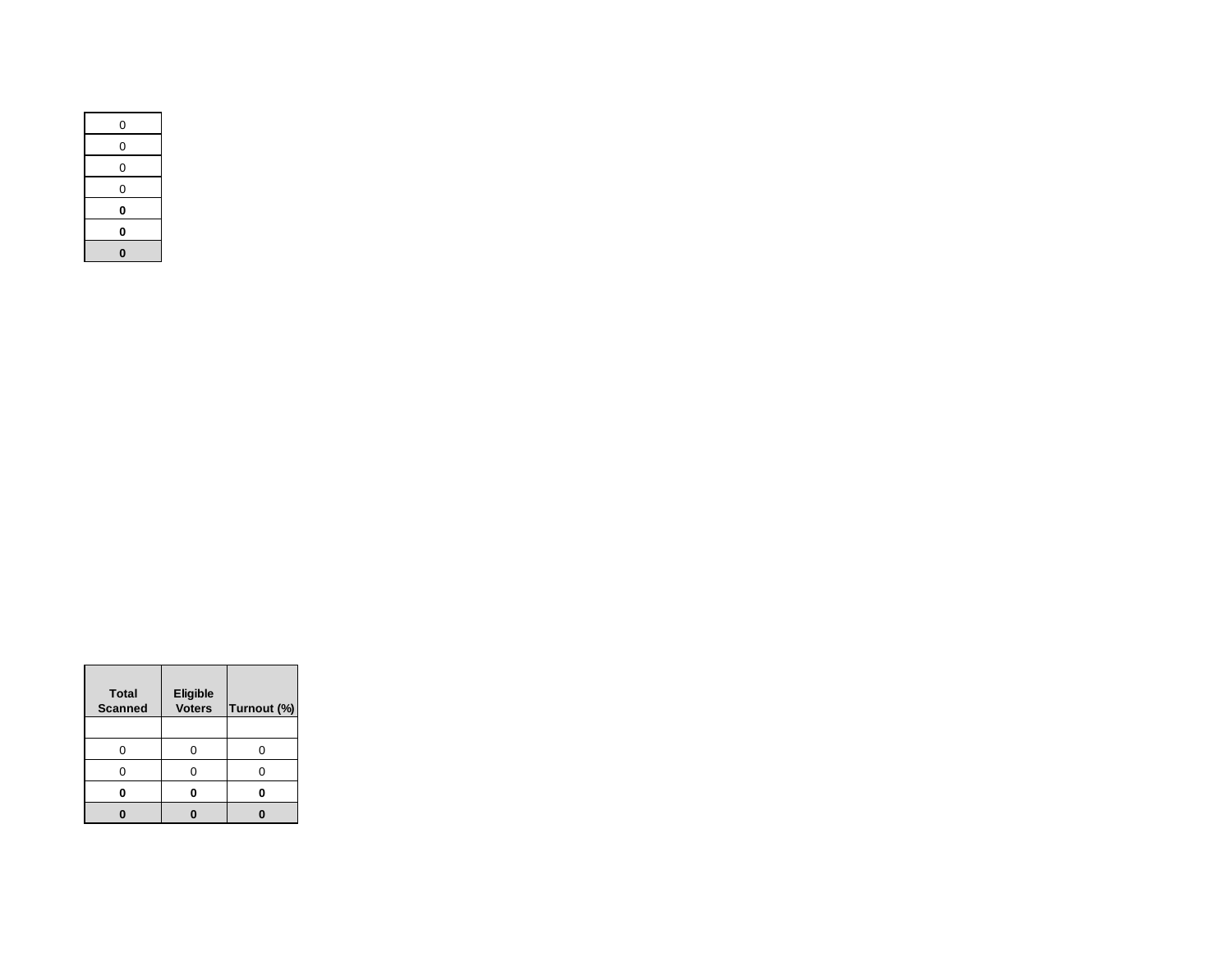| 0 |
|---|
| 0 |
| 0 |
| 0 |
| 0 |
| 0 |
| 0 |

| <b>Total</b><br><b>Scanned</b> | <b>Eligible</b><br><b>Voters</b> | Turnout (%) |
|--------------------------------|----------------------------------|-------------|
|                                |                                  |             |
|                                | n                                | ∩           |
|                                |                                  |             |
|                                |                                  |             |
|                                |                                  |             |